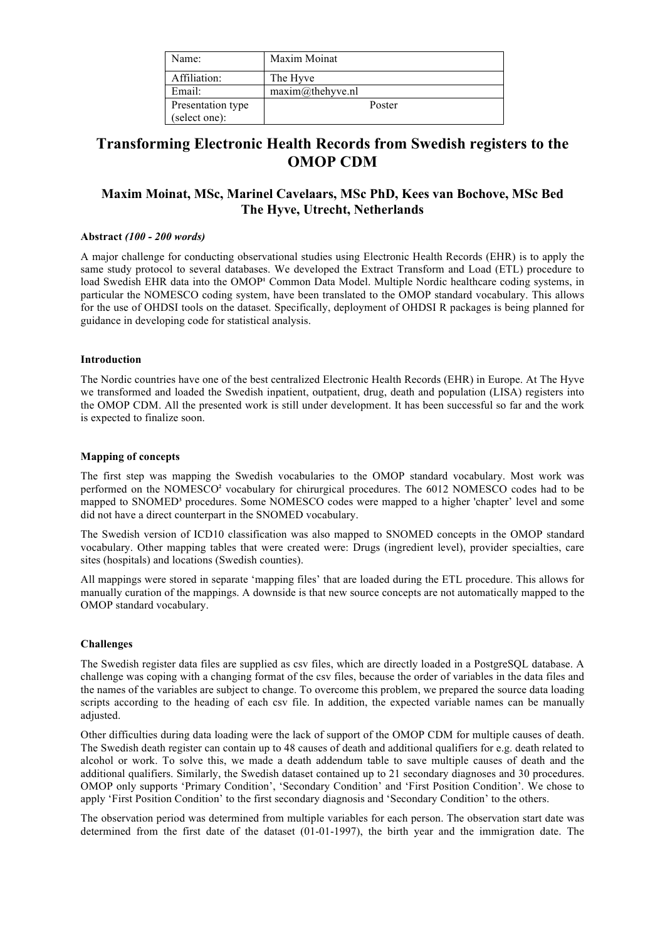| Name:             | Maxim Moinat          |
|-------------------|-----------------------|
|                   |                       |
| Affiliation:      | The Hyve              |
|                   |                       |
| Email:            | $maxim(a)$ thehyve.nl |
|                   |                       |
| Presentation type | Poster                |
|                   |                       |
| (select one):     |                       |

# **Transforming Electronic Health Records from Swedish registers to the OMOP CDM**

## **Maxim Moinat, MSc, Marinel Cavelaars, MSc PhD, Kees van Bochove, MSc Bed The Hyve, Utrecht, Netherlands**

#### **Abstract** *(100 - 200 words)*

A major challenge for conducting observational studies using Electronic Health Records (EHR) is to apply the same study protocol to several databases. We developed the Extract Transform and Load (ETL) procedure to load Swedish EHR data into the OMOP<sup>1</sup> Common Data Model. Multiple Nordic healthcare coding systems, in particular the NOMESCO coding system, have been translated to the OMOP standard vocabulary. This allows for the use of OHDSI tools on the dataset. Specifically, deployment of OHDSI R packages is being planned for guidance in developing code for statistical analysis.

#### **Introduction**

The Nordic countries have one of the best centralized Electronic Health Records (EHR) in Europe. At The Hyve we transformed and loaded the Swedish inpatient, outpatient, drug, death and population (LISA) registers into the OMOP CDM. All the presented work is still under development. It has been successful so far and the work is expected to finalize soon.

#### **Mapping of concepts**

The first step was mapping the Swedish vocabularies to the OMOP standard vocabulary. Most work was performed on the NOMESCO**<sup>2</sup>** vocabulary for chirurgical procedures. The 6012 NOMESCO codes had to be mapped to SNOMED**<sup>3</sup>** procedures. Some NOMESCO codes were mapped to a higher 'chapter' level and some did not have a direct counterpart in the SNOMED vocabulary.

The Swedish version of ICD10 classification was also mapped to SNOMED concepts in the OMOP standard vocabulary. Other mapping tables that were created were: Drugs (ingredient level), provider specialties, care sites (hospitals) and locations (Swedish counties).

All mappings were stored in separate 'mapping files' that are loaded during the ETL procedure. This allows for manually curation of the mappings. A downside is that new source concepts are not automatically mapped to the OMOP standard vocabulary.

### **Challenges**

The Swedish register data files are supplied as csv files, which are directly loaded in a PostgreSQL database. A challenge was coping with a changing format of the csv files, because the order of variables in the data files and the names of the variables are subject to change. To overcome this problem, we prepared the source data loading scripts according to the heading of each csv file. In addition, the expected variable names can be manually adjusted.

Other difficulties during data loading were the lack of support of the OMOP CDM for multiple causes of death. The Swedish death register can contain up to 48 causes of death and additional qualifiers for e.g. death related to alcohol or work. To solve this, we made a death addendum table to save multiple causes of death and the additional qualifiers. Similarly, the Swedish dataset contained up to 21 secondary diagnoses and 30 procedures. OMOP only supports 'Primary Condition', 'Secondary Condition' and 'First Position Condition'. We chose to apply 'First Position Condition' to the first secondary diagnosis and 'Secondary Condition' to the others.

The observation period was determined from multiple variables for each person. The observation start date was determined from the first date of the dataset (01-01-1997), the birth year and the immigration date. The